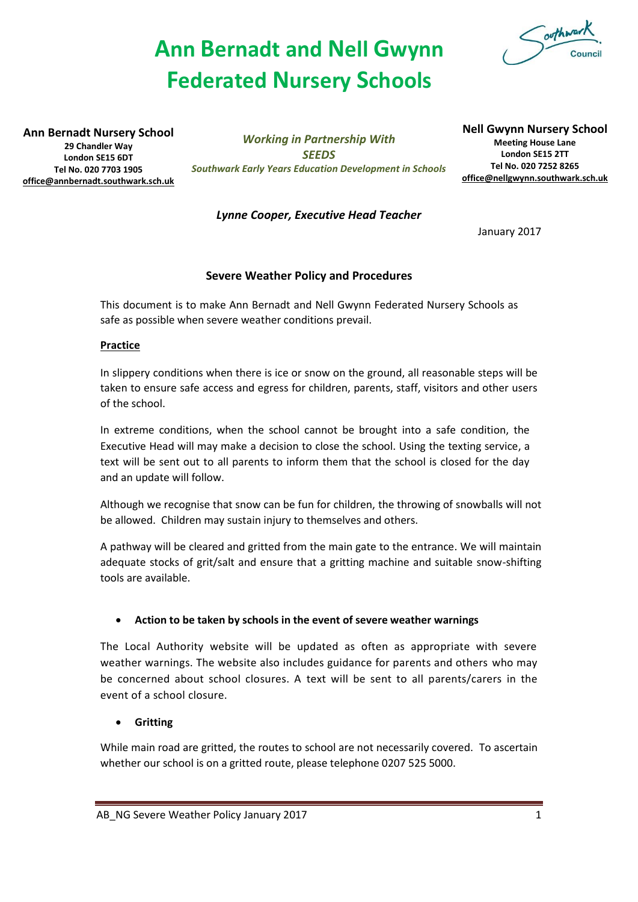# **Ann Bernadt and Nell Gwynn Federated Nursery Schools**



**Ann Bernadt Nursery School 29 Chandler Way London SE15 6DT Tel No. 020 7703 1905 [office@annbernadt.southwark.sch.uk](mailto:office@annbernadt.southwark.sch.uk)**

*Working in Partnership With SEEDS Southwark Early Years Education Development in Schools* **Nell Gwynn Nursery School Meeting House Lane London SE15 2TT Tel No. 020 7252 8265 [office@nellgwynn.southwark.sch.uk](mailto:office@nellgwynn.southwark.sch.uk)**

*Lynne Cooper, Executive Head Teacher*

January 2017

## **Severe Weather Policy and Procedures**

This document is to make Ann Bernadt and Nell Gwynn Federated Nursery Schools as safe as possible when severe weather conditions prevail.

#### **Practice**

In slippery conditions when there is ice or snow on the ground, all reasonable steps will be taken to ensure safe access and egress for children, parents, staff, visitors and other users of the school.

In extreme conditions, when the school cannot be brought into a safe condition, the Executive Head will may make a decision to close the school. Using the texting service, a text will be sent out to all parents to inform them that the school is closed for the day and an update will follow.

Although we recognise that snow can be fun for children, the throwing of snowballs will not be allowed. Children may sustain injury to themselves and others.

A pathway will be cleared and gritted from the main gate to the entrance. We will maintain adequate stocks of grit/salt and ensure that a gritting machine and suitable snow-shifting tools are available.

## **Action to be taken by schools in the event of severe weather warnings**

The Local Authority website will be updated as often as appropriate with severe weather warnings. The website also includes guidance for parents and others who may be concerned about school closures. A text will be sent to all parents/carers in the event of a school closure.

# **Gritting**

While main road are gritted, the routes to school are not necessarily covered. To ascertain whether our school is on a gritted route, please telephone 0207 525 5000.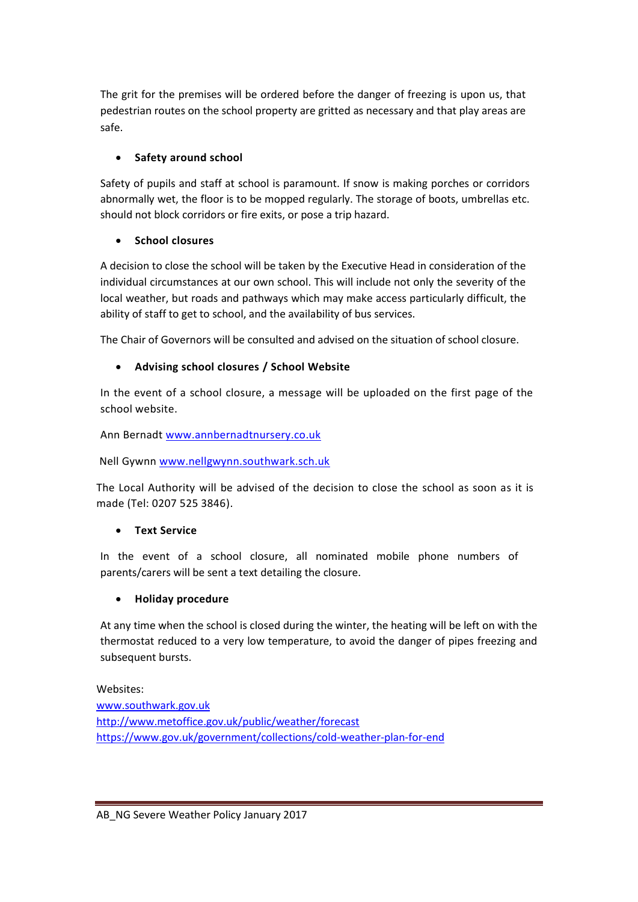The grit for the premises will be ordered before the danger of freezing is upon us, that pedestrian routes on the school property are gritted as necessary and that play areas are safe.

# **•** Safety around school

Safety of pupils and staff at school is paramount. If snow is making porches or corridors abnormally wet, the floor is to be mopped regularly. The storage of boots, umbrellas etc. should not block corridors or fire exits, or pose a trip hazard.

## **School closures**

A decision to close the school will be taken by the Executive Head in consideration of the individual circumstances at our own school. This will include not only the severity of the local weather, but roads and pathways which may make access particularly difficult, the ability of staff to get to school, and the availability of bus services.

The Chair of Governors will be consulted and advised on the situation of school closure.

## **Advising school closures / School Website**

In the event of a school closure, a message will be uploaded on the first page of the school website.

Ann Bernadt [www.annbernadtnursery.co.uk](http://www.annbernadtnursery.co.uk/)

Nell Gywnn [www.nellgwynn.southwark.sch.uk](http://www.nellgwynn.southwark.sch.uk/)

The Local Authority will be advised of the decision to close the school as soon as it is made (Tel: 0207 525 3846).

# **Text Service**

In the event of a school closure, all nominated mobile phone numbers of parents/carers will be sent a text detailing the closure.

# **Holiday procedure**

At any time when the school is closed during the winter, the heating will be left on with the thermostat reduced to a very low temperature, to avoid the danger of pipes freezing and subsequent bursts.

Websites:

[www.southwark.gov.uk](http://www.southwark.gov.uk/) <http://www.metoffice.gov.uk/public/weather/forecast> <https://www.gov.uk/government/collections/cold-weather-plan-for-end>